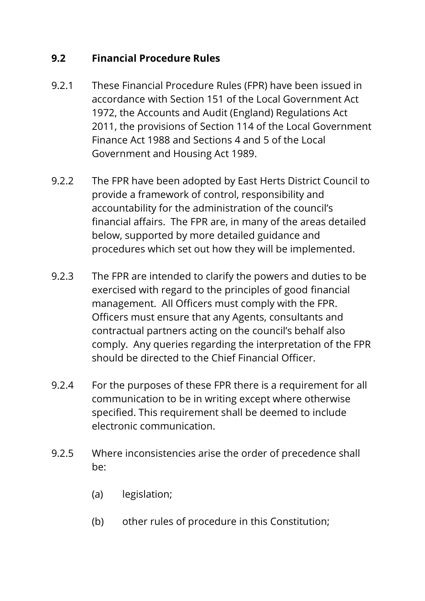# **9.2 Financial Procedure Rules**

- 9.2.1 These Financial Procedure Rules (FPR) have been issued in accordance with Section 151 of the Local Government Act 1972, the Accounts and Audit (England) Regulations Act 2011, the provisions of Section 114 of the Local Government Finance Act 1988 and Sections 4 and 5 of the Local Government and Housing Act 1989.
- 9.2.2 The FPR have been adopted by East Herts District Council to provide a framework of control, responsibility and accountability for the administration of the council's financial affairs. The FPR are, in many of the areas detailed below, supported by more detailed guidance and procedures which set out how they will be implemented.
- 9.2.3 The FPR are intended to clarify the powers and duties to be exercised with regard to the principles of good financial management. All Officers must comply with the FPR. Officers must ensure that any Agents, consultants and contractual partners acting on the council's behalf also comply. Any queries regarding the interpretation of the FPR should be directed to the Chief Financial Officer.
- 9.2.4 For the purposes of these FPR there is a requirement for all communication to be in writing except where otherwise specified. This requirement shall be deemed to include electronic communication.
- 9.2.5 Where inconsistencies arise the order of precedence shall be:
	- (a) legislation;
	- (b) other rules of procedure in this Constitution;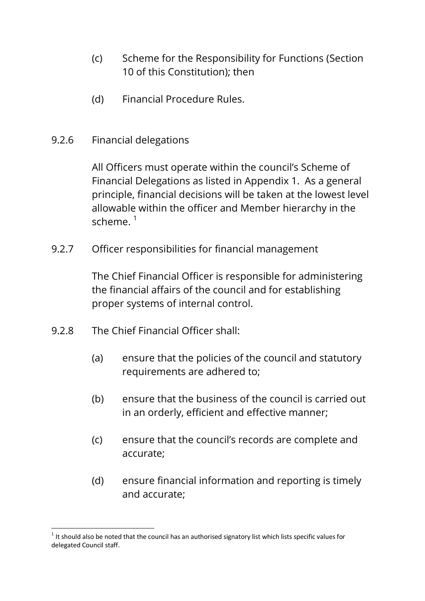- (c) Scheme for the Responsibility for Functions (Section 10 of this Constitution); then
- (d) Financial Procedure Rules.
- 9.2.6 Financial delegations

All Officers must operate within the council's Scheme of Financial Delegations as listed in Appendix 1. As a general principle, financial decisions will be taken at the lowest level allowable within the officer and Member hierarchy in the scheme. $1$ 

9.2.7 Officer responsibilities for financial management

The Chief Financial Officer is responsible for administering the financial affairs of the council and for establishing proper systems of internal control.

- 9.2.8 The Chief Financial Officer shall:
	- (a) ensure that the policies of the council and statutory requirements are adhered to;
	- (b) ensure that the business of the council is carried out in an orderly, efficient and effective manner;
	- (c) ensure that the council's records are complete and accurate;
	- (d) ensure financial information and reporting is timely and accurate;

<sup>1</sup>  $1$  It should also be noted that the council has an authorised signatory list which lists specific values for delegated Council staff.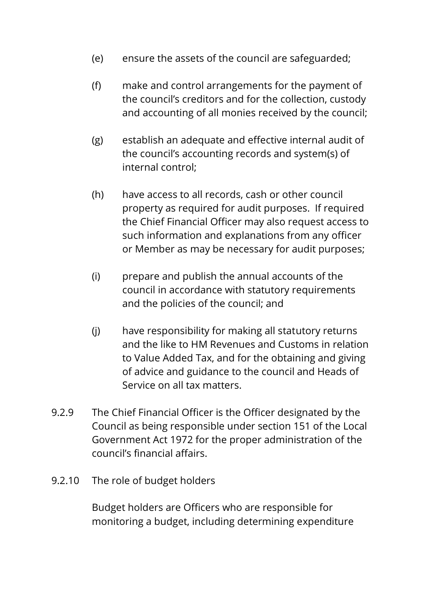- (e) ensure the assets of the council are safeguarded;
- (f) make and control arrangements for the payment of the council's creditors and for the collection, custody and accounting of all monies received by the council;
- (g) establish an adequate and effective internal audit of the council's accounting records and system(s) of internal control;
- (h) have access to all records, cash or other council property as required for audit purposes. If required the Chief Financial Officer may also request access to such information and explanations from any officer or Member as may be necessary for audit purposes;
- (i) prepare and publish the annual accounts of the council in accordance with statutory requirements and the policies of the council; and
- (j) have responsibility for making all statutory returns and the like to HM Revenues and Customs in relation to Value Added Tax, and for the obtaining and giving of advice and guidance to the council and Heads of Service on all tax matters.
- 9.2.9 The Chief Financial Officer is the Officer designated by the Council as being responsible under section 151 of the Local Government Act 1972 for the proper administration of the council's financial affairs.
- 9.2.10 The role of budget holders

Budget holders are Officers who are responsible for monitoring a budget, including determining expenditure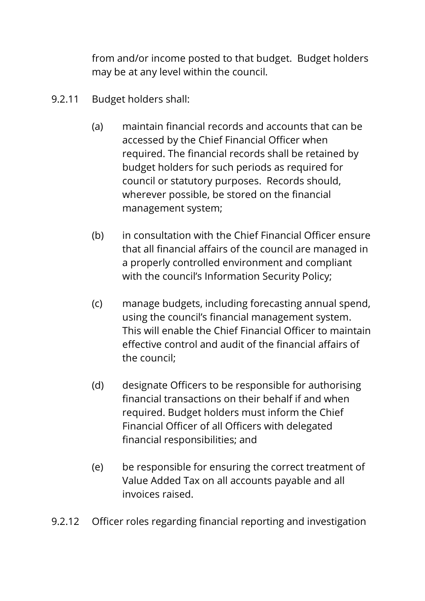from and/or income posted to that budget. Budget holders may be at any level within the council.

- 9.2.11 Budget holders shall:
	- (a) maintain financial records and accounts that can be accessed by the Chief Financial Officer when required. The financial records shall be retained by budget holders for such periods as required for council or statutory purposes. Records should, wherever possible, be stored on the financial management system;
	- (b) in consultation with the Chief Financial Officer ensure that all financial affairs of the council are managed in a properly controlled environment and compliant with the council's Information Security Policy;
	- (c) manage budgets, including forecasting annual spend, using the council's financial management system. This will enable the Chief Financial Officer to maintain effective control and audit of the financial affairs of the council;
	- (d) designate Officers to be responsible for authorising financial transactions on their behalf if and when required. Budget holders must inform the Chief Financial Officer of all Officers with delegated financial responsibilities; and
	- (e) be responsible for ensuring the correct treatment of Value Added Tax on all accounts payable and all invoices raised.
- 9.2.12 Officer roles regarding financial reporting and investigation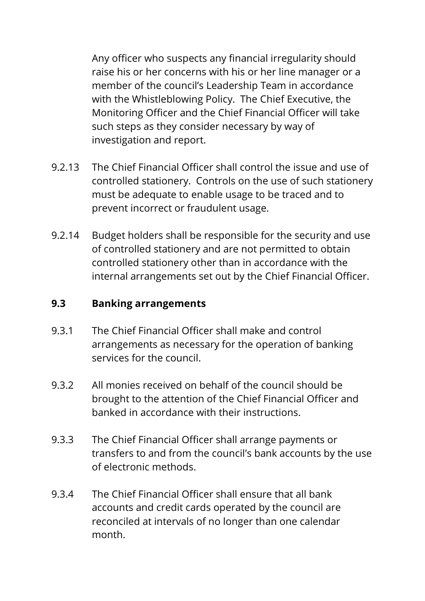Any officer who suspects any financial irregularity should raise his or her concerns with his or her line manager or a member of the council's Leadership Team in accordance with the Whistleblowing Policy. The Chief Executive, the Monitoring Officer and the Chief Financial Officer will take such steps as they consider necessary by way of investigation and report.

- 9.2.13 The Chief Financial Officer shall control the issue and use of controlled stationery. Controls on the use of such stationery must be adequate to enable usage to be traced and to prevent incorrect or fraudulent usage.
- 9.2.14 Budget holders shall be responsible for the security and use of controlled stationery and are not permitted to obtain controlled stationery other than in accordance with the internal arrangements set out by the Chief Financial Officer.

#### **9.3 Banking arrangements**

- 9.3.1 The Chief Financial Officer shall make and control arrangements as necessary for the operation of banking services for the council.
- 9.3.2 All monies received on behalf of the council should be brought to the attention of the Chief Financial Officer and banked in accordance with their instructions.
- 9.3.3 The Chief Financial Officer shall arrange payments or transfers to and from the council's bank accounts by the use of electronic methods.
- 9.3.4 The Chief Financial Officer shall ensure that all bank accounts and credit cards operated by the council are reconciled at intervals of no longer than one calendar month.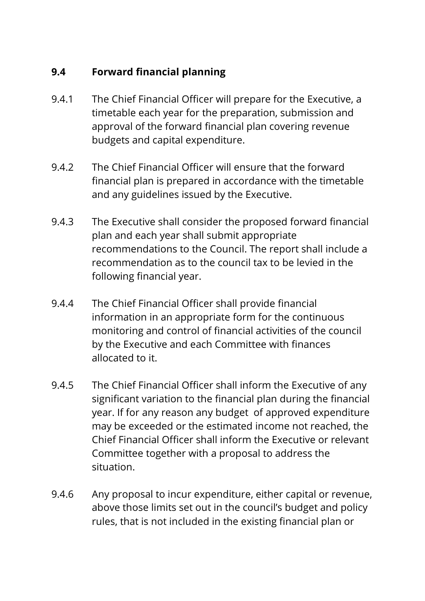# **9.4 Forward financial planning**

- 9.4.1 The Chief Financial Officer will prepare for the Executive, a timetable each year for the preparation, submission and approval of the forward financial plan covering revenue budgets and capital expenditure.
- 9.4.2 The Chief Financial Officer will ensure that the forward financial plan is prepared in accordance with the timetable and any guidelines issued by the Executive.
- 9.4.3 The Executive shall consider the proposed forward financial plan and each year shall submit appropriate recommendations to the Council. The report shall include a recommendation as to the council tax to be levied in the following financial year.
- 9.4.4 The Chief Financial Officer shall provide financial information in an appropriate form for the continuous monitoring and control of financial activities of the council by the Executive and each Committee with finances allocated to it.
- 9.4.5 The Chief Financial Officer shall inform the Executive of any significant variation to the financial plan during the financial year. If for any reason any budget of approved expenditure may be exceeded or the estimated income not reached, the Chief Financial Officer shall inform the Executive or relevant Committee together with a proposal to address the situation.
- 9.4.6 Any proposal to incur expenditure, either capital or revenue, above those limits set out in the council's budget and policy rules, that is not included in the existing financial plan or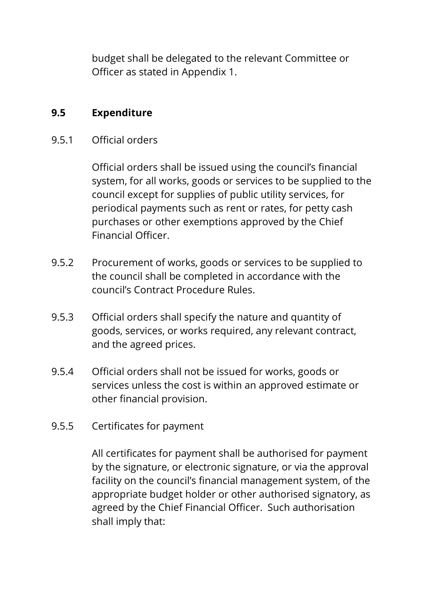budget shall be delegated to the relevant Committee or Officer as stated in Appendix 1.

## **9.5 Expenditure**

## 9.5.1 Official orders

Official orders shall be issued using the council's financial system, for all works, goods or services to be supplied to the council except for supplies of public utility services, for periodical payments such as rent or rates, for petty cash purchases or other exemptions approved by the Chief Financial Officer.

- 9.5.2 Procurement of works, goods or services to be supplied to the council shall be completed in accordance with the council's Contract Procedure Rules.
- 9.5.3 Official orders shall specify the nature and quantity of goods, services, or works required, any relevant contract, and the agreed prices.
- 9.5.4 Official orders shall not be issued for works, goods or services unless the cost is within an approved estimate or other financial provision.
- 9.5.5 Certificates for payment

All certificates for payment shall be authorised for payment by the signature, or electronic signature, or via the approval facility on the council's financial management system, of the appropriate budget holder or other authorised signatory, as agreed by the Chief Financial Officer. Such authorisation shall imply that: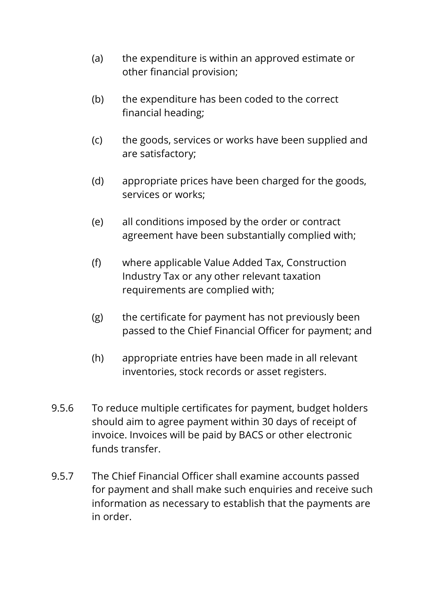- (a) the expenditure is within an approved estimate or other financial provision;
- (b) the expenditure has been coded to the correct financial heading;
- (c) the goods, services or works have been supplied and are satisfactory;
- (d) appropriate prices have been charged for the goods, services or works;
- (e) all conditions imposed by the order or contract agreement have been substantially complied with;
- (f) where applicable Value Added Tax, Construction Industry Tax or any other relevant taxation requirements are complied with;
- (g) the certificate for payment has not previously been passed to the Chief Financial Officer for payment; and
- (h) appropriate entries have been made in all relevant inventories, stock records or asset registers.
- 9.5.6 To reduce multiple certificates for payment, budget holders should aim to agree payment within 30 days of receipt of invoice. Invoices will be paid by BACS or other electronic funds transfer.
- 9.5.7 The Chief Financial Officer shall examine accounts passed for payment and shall make such enquiries and receive such information as necessary to establish that the payments are in order.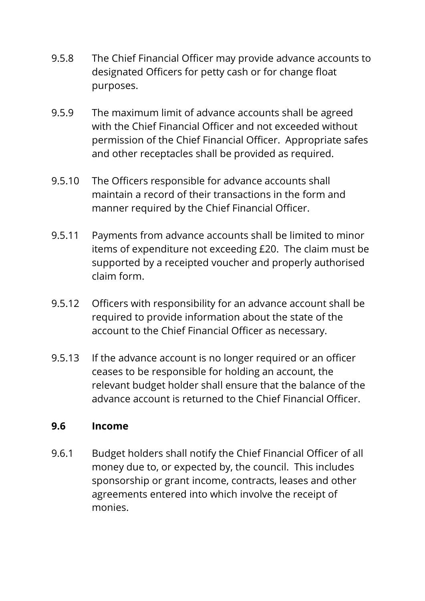- 9.5.8 The Chief Financial Officer may provide advance accounts to designated Officers for petty cash or for change float purposes.
- 9.5.9 The maximum limit of advance accounts shall be agreed with the Chief Financial Officer and not exceeded without permission of the Chief Financial Officer. Appropriate safes and other receptacles shall be provided as required.
- 9.5.10 The Officers responsible for advance accounts shall maintain a record of their transactions in the form and manner required by the Chief Financial Officer.
- 9.5.11 Payments from advance accounts shall be limited to minor items of expenditure not exceeding £20. The claim must be supported by a receipted voucher and properly authorised claim form.
- 9.5.12 Officers with responsibility for an advance account shall be required to provide information about the state of the account to the Chief Financial Officer as necessary.
- 9.5.13 If the advance account is no longer required or an officer ceases to be responsible for holding an account, the relevant budget holder shall ensure that the balance of the advance account is returned to the Chief Financial Officer.

#### **9.6 Income**

9.6.1 Budget holders shall notify the Chief Financial Officer of all money due to, or expected by, the council. This includes sponsorship or grant income, contracts, leases and other agreements entered into which involve the receipt of monies.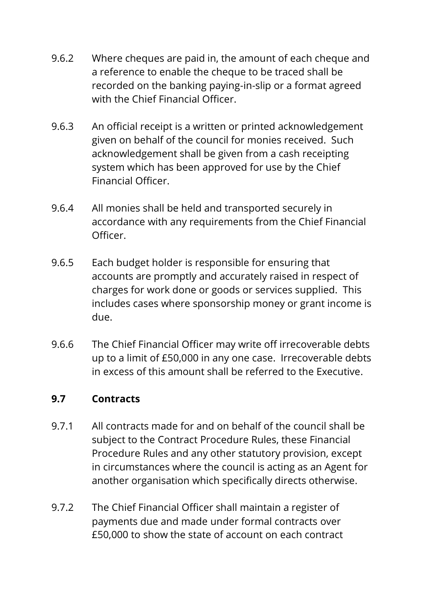- 9.6.2 Where cheques are paid in, the amount of each cheque and a reference to enable the cheque to be traced shall be recorded on the banking paying-in-slip or a format agreed with the Chief Financial Officer.
- 9.6.3 An official receipt is a written or printed acknowledgement given on behalf of the council for monies received. Such acknowledgement shall be given from a cash receipting system which has been approved for use by the Chief Financial Officer.
- 9.6.4 All monies shall be held and transported securely in accordance with any requirements from the Chief Financial Officer.
- 9.6.5 Each budget holder is responsible for ensuring that accounts are promptly and accurately raised in respect of charges for work done or goods or services supplied. This includes cases where sponsorship money or grant income is due.
- 9.6.6 The Chief Financial Officer may write off irrecoverable debts up to a limit of £50,000 in any one case. Irrecoverable debts in excess of this amount shall be referred to the Executive.

## **9.7 Contracts**

- 9.7.1 All contracts made for and on behalf of the council shall be subject to the Contract Procedure Rules, these Financial Procedure Rules and any other statutory provision, except in circumstances where the council is acting as an Agent for another organisation which specifically directs otherwise.
- 9.7.2 The Chief Financial Officer shall maintain a register of payments due and made under formal contracts over £50,000 to show the state of account on each contract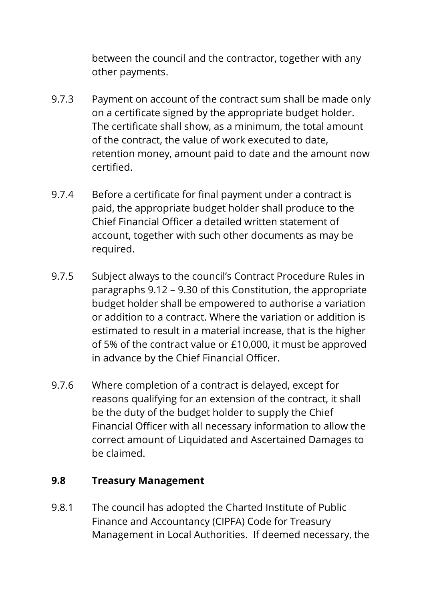between the council and the contractor, together with any other payments.

- 9.7.3 Payment on account of the contract sum shall be made only on a certificate signed by the appropriate budget holder. The certificate shall show, as a minimum, the total amount of the contract, the value of work executed to date, retention money, amount paid to date and the amount now certified.
- 9.7.4 Before a certificate for final payment under a contract is paid, the appropriate budget holder shall produce to the Chief Financial Officer a detailed written statement of account, together with such other documents as may be required.
- 9.7.5 Subject always to the council's Contract Procedure Rules in paragraphs 9.12 – 9.30 of this Constitution, the appropriate budget holder shall be empowered to authorise a variation or addition to a contract. Where the variation or addition is estimated to result in a material increase, that is the higher of 5% of the contract value or £10,000, it must be approved in advance by the Chief Financial Officer.
- 9.7.6 Where completion of a contract is delayed, except for reasons qualifying for an extension of the contract, it shall be the duty of the budget holder to supply the Chief Financial Officer with all necessary information to allow the correct amount of Liquidated and Ascertained Damages to be claimed.

## **9.8 Treasury Management**

9.8.1 The council has adopted the Charted Institute of Public Finance and Accountancy (CIPFA) Code for Treasury Management in Local Authorities. If deemed necessary, the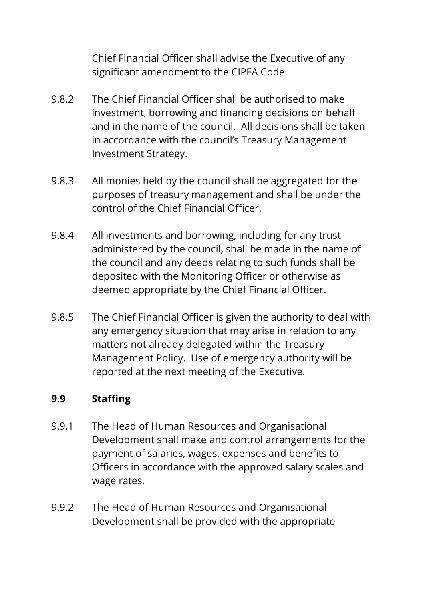Chief Financial Officer shall advise the Executive of any significant amendment to the CIPFA Code.

- 9.8.2 The Chief Financial Officer shall be authorised to make investment, borrowing and financing decisions on behalf and in the name of the council. All decisions shall be taken in accordance with the council's Treasury Management Investment Strategy.
- 9.8.3 All monies held by the council shall be aggregated for the purposes of treasury management and shall be under the control of the Chief Financial Officer.
- 9.8.4 All investments and borrowing, including for any trust administered by the council, shall be made in the name of the council and any deeds relating to such funds shall be deposited with the Monitoring Officer or otherwise as deemed appropriate by the Chief Financial Officer.
- 9.8.5 The Chief Financial Officer is given the authority to deal with any emergency situation that may arise in relation to any matters not already delegated within the Treasury Management Policy. Use of emergency authority will be reported at the next meeting of the Executive.

## **9.9 Staffing**

- 9.9.1 The Head of Human Resources and Organisational Development shall make and control arrangements for the payment of salaries, wages, expenses and benefits to Officers in accordance with the approved salary scales and wage rates.
- 9.9.2 The Head of Human Resources and Organisational Development shall be provided with the appropriate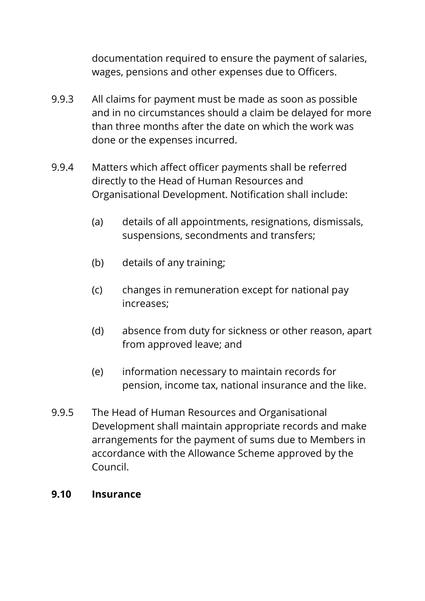documentation required to ensure the payment of salaries, wages, pensions and other expenses due to Officers.

- 9.9.3 All claims for payment must be made as soon as possible and in no circumstances should a claim be delayed for more than three months after the date on which the work was done or the expenses incurred.
- 9.9.4 Matters which affect officer payments shall be referred directly to the Head of Human Resources and Organisational Development. Notification shall include:
	- (a) details of all appointments, resignations, dismissals, suspensions, secondments and transfers;
	- (b) details of any training;
	- (c) changes in remuneration except for national pay increases;
	- (d) absence from duty for sickness or other reason, apart from approved leave; and
	- (e) information necessary to maintain records for pension, income tax, national insurance and the like.
- 9.9.5 The Head of Human Resources and Organisational Development shall maintain appropriate records and make arrangements for the payment of sums due to Members in accordance with the Allowance Scheme approved by the Council.

#### **9.10 Insurance**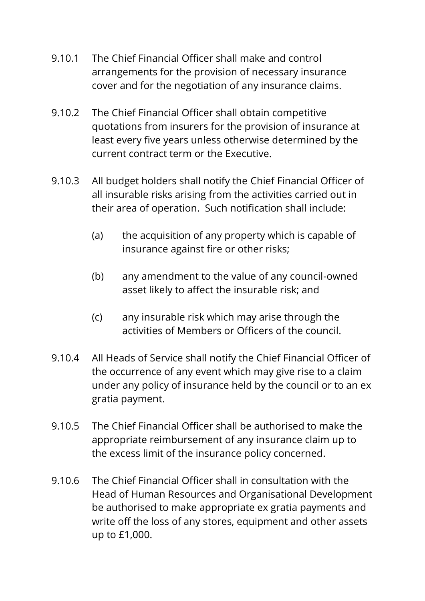- 9.10.1 The Chief Financial Officer shall make and control arrangements for the provision of necessary insurance cover and for the negotiation of any insurance claims.
- 9.10.2 The Chief Financial Officer shall obtain competitive quotations from insurers for the provision of insurance at least every five years unless otherwise determined by the current contract term or the Executive.
- 9.10.3 All budget holders shall notify the Chief Financial Officer of all insurable risks arising from the activities carried out in their area of operation. Such notification shall include:
	- (a) the acquisition of any property which is capable of insurance against fire or other risks;
	- (b) any amendment to the value of any council-owned asset likely to affect the insurable risk; and
	- (c) any insurable risk which may arise through the activities of Members or Officers of the council.
- 9.10.4 All Heads of Service shall notify the Chief Financial Officer of the occurrence of any event which may give rise to a claim under any policy of insurance held by the council or to an ex gratia payment.
- 9.10.5 The Chief Financial Officer shall be authorised to make the appropriate reimbursement of any insurance claim up to the excess limit of the insurance policy concerned.
- 9.10.6 The Chief Financial Officer shall in consultation with the Head of Human Resources and Organisational Development be authorised to make appropriate ex gratia payments and write off the loss of any stores, equipment and other assets up to £1,000.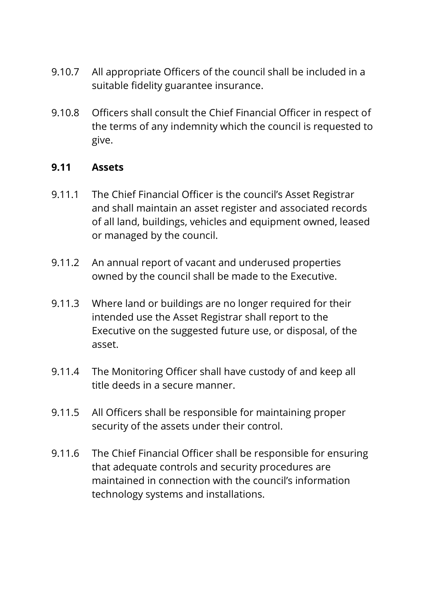- 9.10.7 All appropriate Officers of the council shall be included in a suitable fidelity guarantee insurance.
- 9.10.8 Officers shall consult the Chief Financial Officer in respect of the terms of any indemnity which the council is requested to give.

#### **9.11 Assets**

- 9.11.1 The Chief Financial Officer is the council's Asset Registrar and shall maintain an asset register and associated records of all land, buildings, vehicles and equipment owned, leased or managed by the council.
- 9.11.2 An annual report of vacant and underused properties owned by the council shall be made to the Executive.
- 9.11.3 Where land or buildings are no longer required for their intended use the Asset Registrar shall report to the Executive on the suggested future use, or disposal, of the asset.
- 9.11.4 The Monitoring Officer shall have custody of and keep all title deeds in a secure manner.
- 9.11.5 All Officers shall be responsible for maintaining proper security of the assets under their control.
- 9.11.6 The Chief Financial Officer shall be responsible for ensuring that adequate controls and security procedures are maintained in connection with the council's information technology systems and installations.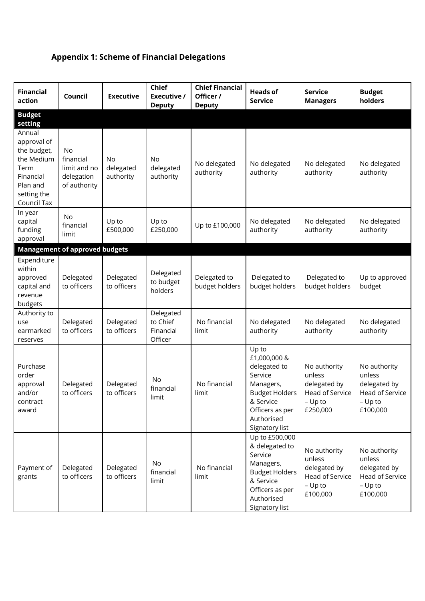# **Appendix 1: Scheme of Financial Delegations**

| <b>Financial</b><br>action                                                                                        | Council                                                       | <b>Executive</b>                    | <b>Chief</b><br>Executive /<br><b>Deputy</b>  | <b>Chief Financial</b><br>Officer /<br><b>Deputy</b> | <b>Heads of</b><br><b>Service</b>                                                                                                                      | <b>Service</b><br><b>Managers</b>                                                  | <b>Budget</b><br>holders                                                           |
|-------------------------------------------------------------------------------------------------------------------|---------------------------------------------------------------|-------------------------------------|-----------------------------------------------|------------------------------------------------------|--------------------------------------------------------------------------------------------------------------------------------------------------------|------------------------------------------------------------------------------------|------------------------------------------------------------------------------------|
| <b>Budget</b><br>setting                                                                                          |                                                               |                                     |                                               |                                                      |                                                                                                                                                        |                                                                                    |                                                                                    |
| Annual<br>approval of<br>the budget,<br>the Medium<br>Term<br>Financial<br>Plan and<br>setting the<br>Council Tax | No<br>financial<br>limit and no<br>delegation<br>of authority | <b>No</b><br>delegated<br>authority | <b>No</b><br>delegated<br>authority           | No delegated<br>authority                            | No delegated<br>authority                                                                                                                              | No delegated<br>authority                                                          | No delegated<br>authority                                                          |
| In year<br>capital<br>funding<br>approval                                                                         | No<br>financial<br>limit                                      | Up to<br>£500,000                   | Up to<br>£250,000                             | Up to £100,000                                       | No delegated<br>authority                                                                                                                              | No delegated<br>authority                                                          | No delegated<br>authority                                                          |
|                                                                                                                   | <b>Management of approved budgets</b>                         |                                     |                                               |                                                      |                                                                                                                                                        |                                                                                    |                                                                                    |
| Expenditure<br>within<br>approved<br>capital and<br>revenue<br>budgets                                            | Delegated<br>to officers                                      | Delegated<br>to officers            | Delegated<br>to budget<br>holders             | Delegated to<br>budget holders                       | Delegated to<br>budget holders                                                                                                                         | Delegated to<br>budget holders                                                     | Up to approved<br>budget                                                           |
| Authority to<br>use<br>earmarked<br>reserves                                                                      | Delegated<br>to officers                                      | Delegated<br>to officers            | Delegated<br>to Chief<br>Financial<br>Officer | No financial<br>limit                                | No delegated<br>authority                                                                                                                              | No delegated<br>authority                                                          | No delegated<br>authority                                                          |
| Purchase<br>order<br>approval<br>and/or<br>contract<br>award                                                      | Delegated<br>to officers                                      | Delegated<br>to officers            | <b>No</b><br>financial<br>limit               | No financial<br>limit                                | Up to<br>£1,000,000 &<br>delegated to<br>Service<br>Managers,<br><b>Budget Holders</b><br>& Service<br>Officers as per<br>Authorised<br>Signatory list | No authority<br>unless<br>delegated by<br>Head of Service<br>$-$ Up to<br>£250,000 | No authority<br>unless<br>delegated by<br>Head of Service<br>$-$ Up to<br>£100,000 |
| Payment of<br>grants                                                                                              | Delegated<br>to officers                                      | Delegated<br>to officers            | No<br>financial<br>limit                      | No financial<br>limit                                | Up to £500,000<br>& delegated to<br>Service<br>Managers,<br><b>Budget Holders</b><br>& Service<br>Officers as per<br>Authorised<br>Signatory list      | No authority<br>unless<br>delegated by<br>Head of Service<br>$-$ Up to<br>£100,000 | No authority<br>unless<br>delegated by<br>Head of Service<br>$-$ Up to<br>£100,000 |